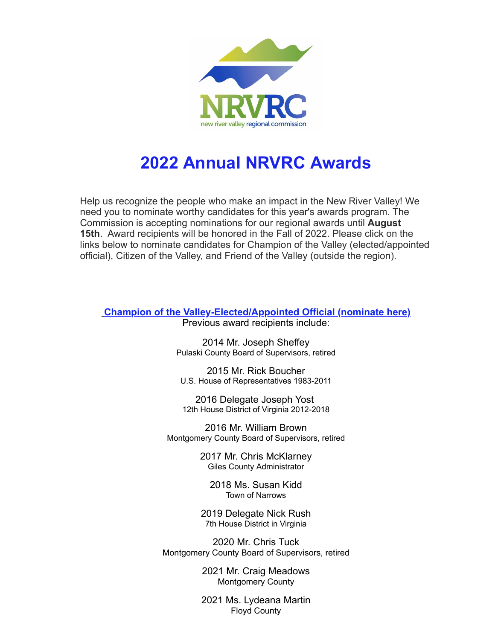

## **2022 Annual NRVRC Awards**

Help us recognize the people who make an impact in the New River Valley! We need you to nominate worthy candidates for this year's awards program. The Commission is accepting nominations for our regional awards until **August 15th**. Award recipients will be honored in the Fall of 2022. Please click on the links below to nominate candidates for Champion of the Valley (elected/appointed official), Citizen of the Valley, and Friend of the Valley (outside the region).

**[Champion of the Valley-Elected/Appointed Official \(nominate here\)](https://r20.rs6.net/tn.jsp?f=001odmsAN35Elia5FnKVtpNV-BVELGGljUOnYWHJ5p1tnN9cDNY6q96SVFPHbXkBNEAcp4srDMj2BHEtq5yY2umtUZnLQJBRlqkJkjdDJns93tQ6NW8AOIcd1nvmbSDfQSIXXA-l-4IITHjy_tfVFIZB9Y_vD8A9SCBAOLXX-Qr0wRqNmGuV00T5e8FEfabIYruRjg5nTxjx1s=&c=O1U9F59oeOZxnbAX0zsSVE0YeDs3f9Dvu9nRnDDrlnB5xaUop0IUjw==&ch=ZyVLFX0OE22dlTuRJyuNnA2LiIgZT29r_hqgnrQmOQFsvGZX8oO1Gg==)**

Previous award recipients include:

2014 Mr. Joseph Sheffey Pulaski County Board of Supervisors, retired

2015 Mr. Rick Boucher U.S. House of Representatives 1983-2011

2016 Delegate Joseph Yost 12th House District of Virginia 2012-2018

2016 Mr. William Brown Montgomery County Board of Supervisors, retired

> 2017 Mr. Chris McKlarney Giles County Administrator

2018 Ms. Susan Kidd Town of Narrows

2019 Delegate Nick Rush 7th House District in Virginia

2020 Mr. Chris Tuck Montgomery County Board of Supervisors, retired

> 2021 Mr. Craig Meadows Montgomery County

2021 Ms. Lydeana Martin Floyd County